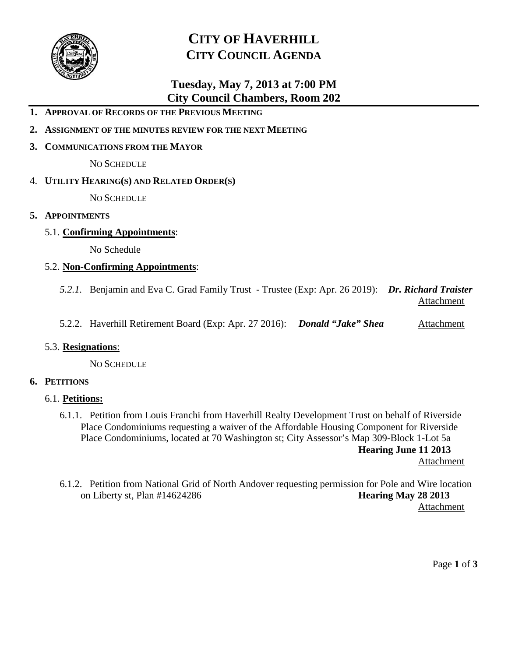

# **CITY OF HAVERHILL CITY COUNCIL AGENDA**

## **Tuesday, May 7, 2013 at 7:00 PM City Council Chambers, Room 202**

- **1. APPROVAL OF RECORDS OF THE PREVIOUS MEETING**
- **2. ASSIGNMENT OF THE MINUTES REVIEW FOR THE NEXT MEETING**
- **3. COMMUNICATIONS FROM THE MAYOR**

NO SCHEDULE

4. **UTILITY HEARING(S) AND RELATED ORDER(S)**

NO SCHEDULE

- **5. APPOINTMENTS**
	- 5.1. **Confirming Appointments**:

No Schedule

### 5.2. **Non-Confirming Appointments**:

- *5.2.1.* Benjamin and Eva C. Grad Family Trust Trustee (Exp: Apr. 26 2019): *Dr. Richard Traister* **Attachment**
- 5.2.2. Haverhill Retirement Board (Exp: Apr. 27 2016): *Donald "Jake" Shea* Attachment

#### 5.3. **Resignations**:

NO SCHEDULE

### **6. PETITIONS**

#### 6.1. **Petitions:**

6.1.1. Petition from Louis Franchi from Haverhill Realty Development Trust on behalf of Riverside Place Condominiums requesting a waiver of the Affordable Housing Component for Riverside Place Condominiums, located at 70 Washington st; City Assessor's Map 309-Block 1-Lot 5a **Hearing June 11 2013** Attachment

6.1.2. Petition from National Grid of North Andover requesting permission for Pole and Wire location on Liberty st, Plan #14624286 **Hearing May 28 2013**

Attachment

Page **1** of **3**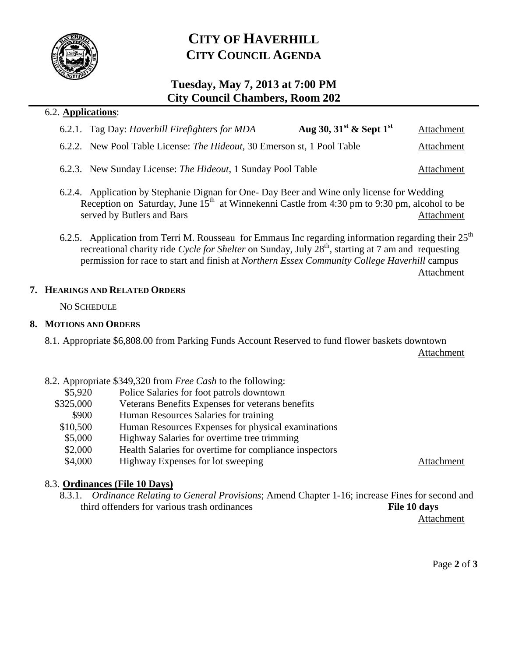

# **CITY OF HAVERHILL CITY COUNCIL AGENDA**

## **Tuesday, May 7, 2013 at 7:00 PM City Council Chambers, Room 202**

### 6.2. **Applications**:

|  | 6.2.1. Tag Day: Haverhill Firefighters for MDA | Aug 30, $31st$ & Sept $1st$ | Attachment |
|--|------------------------------------------------|-----------------------------|------------|
|--|------------------------------------------------|-----------------------------|------------|

- 6.2.2. New Pool Table License: *The Hideout*, 30 Emerson st, 1 Pool Table Attachment
- 6.2.3. New Sunday License: *The Hideout*, 1 Sunday Pool Table Attachment
- 6.2.4. Application by Stephanie Dignan for One- Day Beer and Wine only license for Wedding Reception on Saturday, June  $15<sup>th</sup>$  at Winnekenni Castle from 4:30 pm to 9:30 pm, alcohol to be served by Butlers and Bars Attachment
- 6.2.5. Application from Terri M. Rousseau for Emmaus Inc regarding information regarding their  $25<sup>th</sup>$ recreational charity ride *Cycle for Shelter* on Sunday, July 28<sup>th</sup>, starting at 7 am and requesting permission for race to start and finish at *Northern Essex Community College Haverhill* campus Attachment

### **7. HEARINGS AND RELATED ORDERS**

NO SCHEDULE

### **8. MOTIONS AND ORDERS**

8.1. Appropriate \$6,808.00 from Parking Funds Account Reserved to fund flower baskets downtown

Attachment

- 8.2. Appropriate \$349,320 from *Free Cash* to the following:
	- \$5,920 Police Salaries for foot patrols downtown
	- \$325,000 Veterans Benefits Expenses for veterans benefits
	- \$900 Human Resources Salaries for training
	- \$10,500 Human Resources Expenses for physical examinations
	- \$5,000 Highway Salaries for overtime tree trimming
	- \$2,000 Health Salaries for overtime for compliance inspectors
	- \$4,000 Highway Expenses for lot sweeping Attachment

### 8.3. **Ordinances (File 10 Days)**

8.3.1. *Ordinance Relating to General Provisions*; Amend Chapter 1-16; increase Fines for second and third offenders for various trash ordinances **File 10 days**

Attachment

Page **2** of **3**